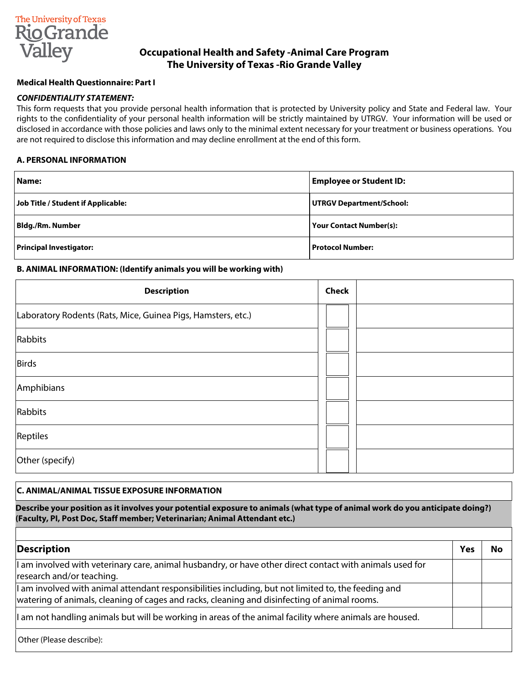

# **Occupational Health and Safety -Animal Care Program The University of Texas -Rio Grande Valley**

### **Medical Health Questionnaire: Part I**

### *CONFIDENTIALITY STATEMENT:*

This form requests that you provide personal health information that is protected by University policy and State and Federal law. Your rights to the confidentiality of your personal health information will be strictly maintained by UTRGV. Your information will be used or disclosed in accordance with those policies and laws only to the minimal extent necessary for your treatment or business operations. You are not required to disclose this information and may decline enrollment at the end of this form.

#### **A. PERSONAL INFORMATION**

| Name:                              | <b>Employee or Student ID:</b> |
|------------------------------------|--------------------------------|
| Job Title / Student if Applicable: | UTRGV Department/School:       |
| <b>Bldg./Rm. Number</b>            | <b>Your Contact Number(s):</b> |
| <b>Principal Investigator:</b>     | Protocol Number:               |

#### **B. ANIMAL INFORMATION: (Identify animals you will be working with)**

| <b>Description</b>                                           | <b>Check</b> |  |
|--------------------------------------------------------------|--------------|--|
| Laboratory Rodents (Rats, Mice, Guinea Pigs, Hamsters, etc.) |              |  |
| Rabbits                                                      |              |  |
| Birds                                                        |              |  |
| Amphibians                                                   |              |  |
| Rabbits                                                      |              |  |
| Reptiles                                                     |              |  |
| Other (specify)                                              |              |  |

#### **C. ANIMAL/ANIMAL TISSUE EXPOSURE INFORMATION**

**Describe your position as it involves your potential exposure to animals (what type of animal work do you anticipate doing?) (Faculty, PI, Post Doc, Staff member; Veterinarian; Animal Attendant etc.)** 

| Description                                                                                                                                                                                          | Yes | No |
|------------------------------------------------------------------------------------------------------------------------------------------------------------------------------------------------------|-----|----|
| $\vert$ am involved with veterinary care, animal husbandry, or have other direct contact with animals used for<br>research and/or teaching.                                                          |     |    |
| If am involved with animal attendant responsibilities including, but not limited to, the feeding and<br>watering of animals, cleaning of cages and racks, cleaning and disinfecting of animal rooms. |     |    |
| I am not handling animals but will be working in areas of the animal facility where animals are housed.                                                                                              |     |    |
| Other (Please describe):                                                                                                                                                                             |     |    |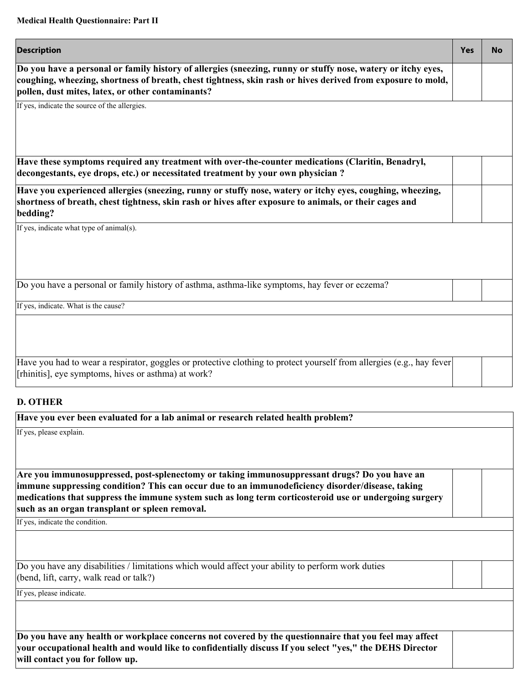| <b>Description</b>                                                                                                                                                                                                                                                               | <b>Yes</b> | <b>No</b> |
|----------------------------------------------------------------------------------------------------------------------------------------------------------------------------------------------------------------------------------------------------------------------------------|------------|-----------|
| Do you have a personal or family history of allergies (sneezing, runny or stuffy nose, watery or itchy eyes,<br>coughing, wheezing, shortness of breath, chest tightness, skin rash or hives derived from exposure to mold,<br>pollen, dust mites, latex, or other contaminants? |            |           |
| If yes, indicate the source of the allergies.                                                                                                                                                                                                                                    |            |           |
|                                                                                                                                                                                                                                                                                  |            |           |
| Have these symptoms required any treatment with over-the-counter medications (Claritin, Benadryl,<br>decongestants, eye drops, etc.) or necessitated treatment by your own physician ?                                                                                           |            |           |
| Have you experienced allergies (sneezing, runny or stuffy nose, watery or itchy eyes, coughing, wheezing,<br>shortness of breath, chest tightness, skin rash or hives after exposure to animals, or their cages and<br>bedding?                                                  |            |           |
| If yes, indicate what type of animal(s).                                                                                                                                                                                                                                         |            |           |
|                                                                                                                                                                                                                                                                                  |            |           |
| Do you have a personal or family history of asthma, asthma-like symptoms, hay fever or eczema?                                                                                                                                                                                   |            |           |
| If yes, indicate. What is the cause?                                                                                                                                                                                                                                             |            |           |
|                                                                                                                                                                                                                                                                                  |            |           |
| Have you had to wear a respirator, goggles or protective clothing to protect yourself from allergies (e.g., hay fever<br>[rhinitis], eye symptoms, hives or asthma) at work?                                                                                                     |            |           |

# **D. OTHER**

| Have you ever been evaluated for a lab animal or research related health problem?                                                                                                                                  |  |
|--------------------------------------------------------------------------------------------------------------------------------------------------------------------------------------------------------------------|--|
| If yes, please explain.                                                                                                                                                                                            |  |
|                                                                                                                                                                                                                    |  |
| Are you immunosuppressed, post-splenectomy or taking immunosuppressant drugs? Do you have an<br>immune suppressing condition? This can occur due to an immunodeficiency disorder/disease, taking                   |  |
| medications that suppress the immune system such as long term corticosteroid use or undergoing surgery<br>such as an organ transplant or spleen removal.                                                           |  |
| If yes, indicate the condition.                                                                                                                                                                                    |  |
|                                                                                                                                                                                                                    |  |
| Do you have any disabilities / limitations which would affect your ability to perform work duties                                                                                                                  |  |
| (bend, lift, carry, walk read or talk?)                                                                                                                                                                            |  |
| If yes, please indicate.                                                                                                                                                                                           |  |
|                                                                                                                                                                                                                    |  |
|                                                                                                                                                                                                                    |  |
| Do you have any health or workplace concerns not covered by the questionnaire that you feel may affect<br>your occupational health and would like to confidentially discuss If you select "yes," the DEHS Director |  |

**will contact you for follow up.**